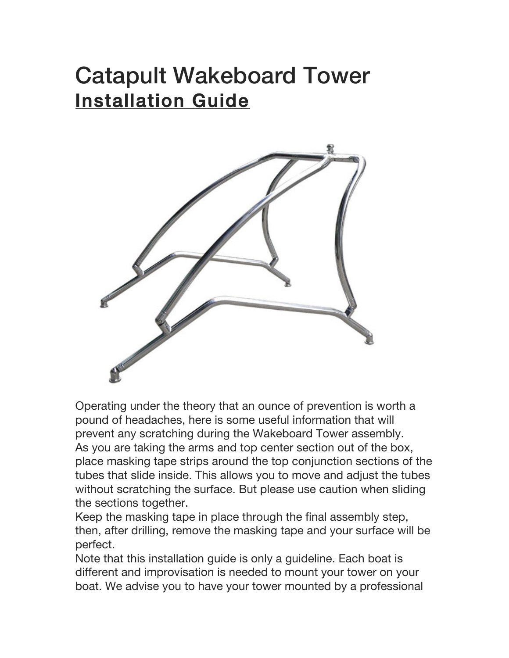### Catapult Wakeboard Tower Installation Guide



Operating under the theory that an ounce of prevention is worth a pound of headaches, here is some useful information that will prevent any scratching during the Wakeboard Tower assembly. As you are taking the arms and top center section out of the box, place masking tape strips around the top conjunction sections of the tubes that slide inside. This allows you to move and adjust the tubes without scratching the surface. But please use caution when sliding the sections together.

Keep the masking tape in place through the final assembly step, then, after drilling, remove the masking tape and your surface will be perfect.

Note that this installation guide is only a guideline. Each boat is different and improvisation is needed to mount your tower on your boat. We advise you to have your tower mounted by a professional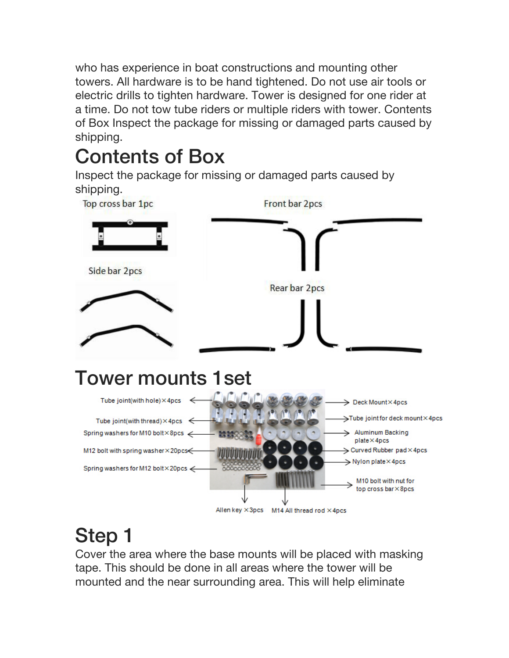who has experience in boat constructions and mounting other towers. All hardware is to be hand tightened. Do not use air tools or electric drills to tighten hardware. Tower is designed for one rider at a time. Do not tow tube riders or multiple riders with tower. Contents of Box Inspect the package for missing or damaged parts caused by shipping.

#### Contents of Box

Inspect the package for missing or damaged parts caused by shipping.



#### Step 1

Cover the area where the base mounts will be placed with masking tape. This should be done in all areas where the tower will be mounted and the near surrounding area. This will help eliminate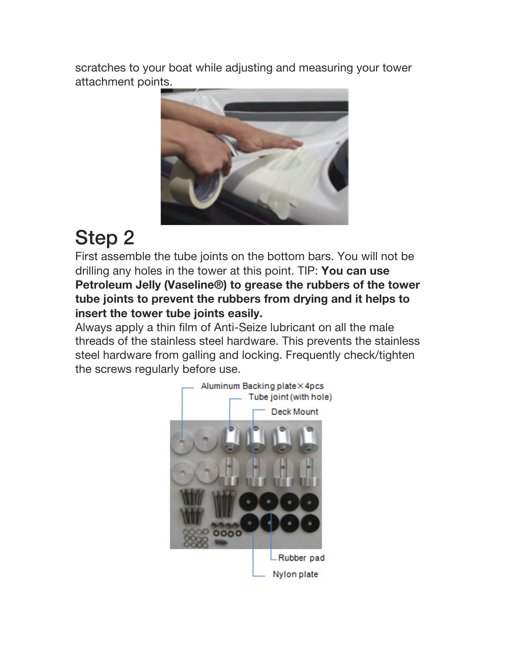scratches to your boat while adjusting and measuring your tower attachment points.



## Step 2

First assemble the tube joints on the bottom bars. You will not be drilling any holes in the tower at this point. TIP: **You can use Petroleum Jelly (Vaseline®) to grease the rubbers of the tower tube joints to prevent the rubbers from drying and it helps to insert the tower tube joints easily.**

Always apply a thin film of Anti-Seize lubricant on all the male threads of the stainless steel hardware. This prevents the stainless steel hardware from galling and locking. Frequently check/tighten the screws regularly before use.

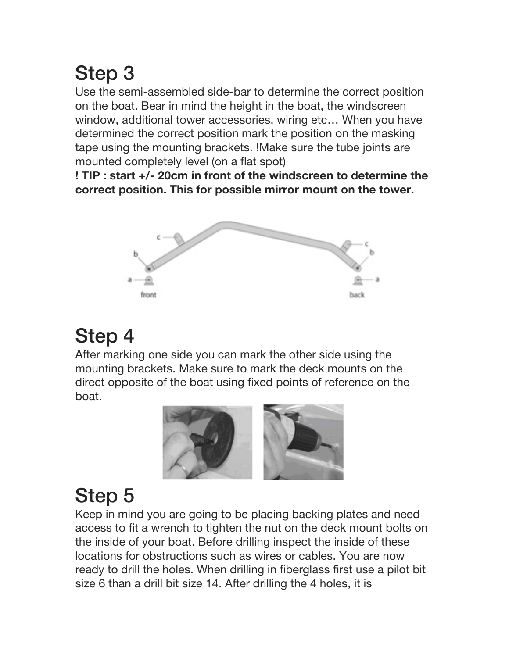## Step 3

Use the semi-assembled side-bar to determine the correct position on the boat. Bear in mind the height in the boat, the windscreen window, additional tower accessories, wiring etc… When you have determined the correct position mark the position on the masking tape using the mounting brackets. !Make sure the tube joints are mounted completely level (on a flat spot)

**! TIP : start +/- 20cm in front of the windscreen to determine the correct position. This for possible mirror mount on the tower.**



## Step 4

After marking one side you can mark the other side using the mounting brackets. Make sure to mark the deck mounts on the direct opposite of the boat using fixed points of reference on the boat.



## Step 5

Keep in mind you are going to be placing backing plates and need access to fit a wrench to tighten the nut on the deck mount bolts on the inside of your boat. Before drilling inspect the inside of these locations for obstructions such as wires or cables. You are now ready to drill the holes. When drilling in fiberglass first use a pilot bit size 6 than a drill bit size 14. After drilling the 4 holes, it is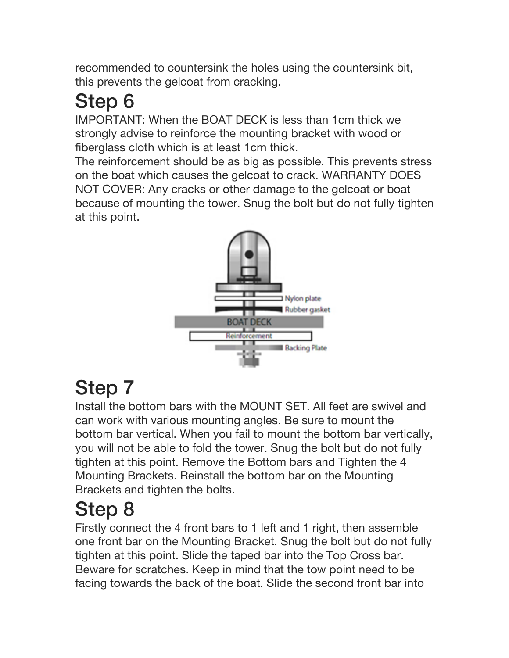recommended to countersink the holes using the countersink bit, this prevents the gelcoat from cracking.

# Step 6

IMPORTANT: When the BOAT DECK is less than 1cm thick we strongly advise to reinforce the mounting bracket with wood or fiberglass cloth which is at least 1cm thick.

The reinforcement should be as big as possible. This prevents stress on the boat which causes the gelcoat to crack. WARRANTY DOES NOT COVER: Any cracks or other damage to the gelcoat or boat because of mounting the tower. Snug the bolt but do not fully tighten at this point.



## Step 7

Install the bottom bars with the MOUNT SET. All feet are swivel and can work with various mounting angles. Be sure to mount the bottom bar vertical. When you fail to mount the bottom bar vertically, you will not be able to fold the tower. Snug the bolt but do not fully tighten at this point. Remove the Bottom bars and Tighten the 4 Mounting Brackets. Reinstall the bottom bar on the Mounting Brackets and tighten the bolts.

## Step 8

Firstly connect the 4 front bars to 1 left and 1 right, then assemble one front bar on the Mounting Bracket. Snug the bolt but do not fully tighten at this point. Slide the taped bar into the Top Cross bar. Beware for scratches. Keep in mind that the tow point need to be facing towards the back of the boat. Slide the second front bar into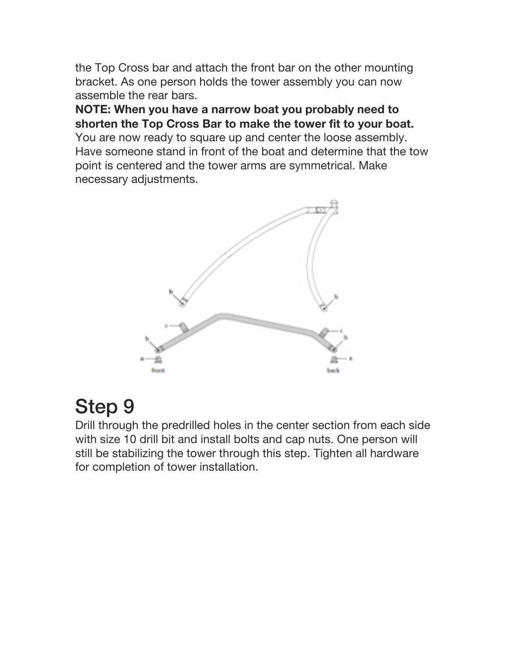the Top Cross bar and attach the front bar on the other mounting bracket. As one person holds the tower assembly you can now assemble the rear bars.

**NOTE: When you have a narrow boat you probably need to shorten the Top Cross Bar to make the tower fit to your boat.** You are now ready to square up and center the loose assembly. Have someone stand in front of the boat and determine that the tow point is centered and the tower arms are symmetrical. Make necessary adjustments.



#### Step 9

Drill through the predrilled holes in the center section from each side with size 10 drill bit and install bolts and cap nuts. One person will still be stabilizing the tower through this step. Tighten all hardware for completion of tower installation.